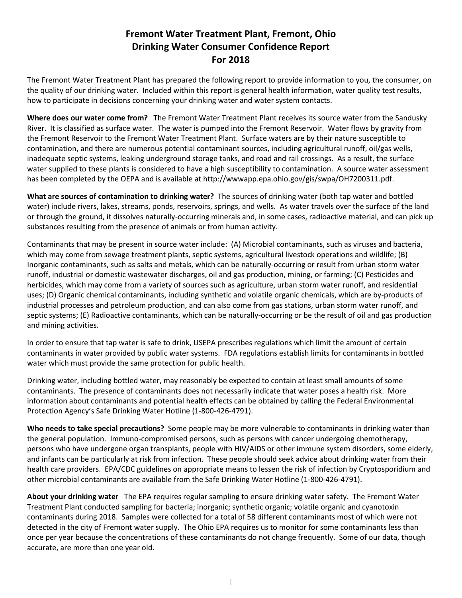## **Fremont Water Treatment Plant, Fremont, Ohio Drinking Water Consumer Confidence Report For 2018**

The Fremont Water Treatment Plant has prepared the following report to provide information to you, the consumer, on the quality of our drinking water. Included within this report is general health information, water quality test results, how to participate in decisions concerning your drinking water and water system contacts.

**Where does our water come from?** The Fremont Water Treatment Plant receives its source water from the Sandusky River. It is classified as surface water. The water is pumped into the Fremont Reservoir. Water flows by gravity from the Fremont Reservoir to the Fremont Water Treatment Plant. Surface waters are by their nature susceptible to contamination, and there are numerous potential contaminant sources, including agricultural runoff, oil/gas wells, inadequate septic systems, leaking underground storage tanks, and road and rail crossings. As a result, the surface water supplied to these plants is considered to have a high susceptibility to contamination. A source water assessment has been completed by the OEPA and is available at http://wwwapp.epa.ohio.gov/gis/swpa/OH7200311.pdf.

**What are sources of contamination to drinking water?** The sources of drinking water (both tap water and bottled water) include rivers, lakes, streams, ponds, reservoirs, springs, and wells. As water travels over the surface of the land or through the ground, it dissolves naturally-occurring minerals and, in some cases, radioactive material, and can pick up substances resulting from the presence of animals or from human activity.

Contaminants that may be present in source water include: (A) Microbial contaminants, such as viruses and bacteria, which may come from sewage treatment plants, septic systems, agricultural livestock operations and wildlife; (B) Inorganic contaminants, such as salts and metals, which can be naturally-occurring or result from urban storm water runoff, industrial or domestic wastewater discharges, oil and gas production, mining, or farming; (C) Pesticides and herbicides, which may come from a variety of sources such as agriculture, urban storm water runoff, and residential uses; (D) Organic chemical contaminants, including synthetic and volatile organic chemicals, which are by-products of industrial processes and petroleum production, and can also come from gas stations, urban storm water runoff, and septic systems; (E) Radioactive contaminants, which can be naturally-occurring or be the result of oil and gas production and mining activities*.* 

In order to ensure that tap water is safe to drink, USEPA prescribes regulations which limit the amount of certain contaminants in water provided by public water systems. FDA regulations establish limits for contaminants in bottled water which must provide the same protection for public health.

Drinking water, including bottled water, may reasonably be expected to contain at least small amounts of some contaminants. The presence of contaminants does not necessarily indicate that water poses a health risk. More information about contaminants and potential health effects can be obtained by calling the Federal Environmental Protection Agency's Safe Drinking Water Hotline (1-800-426-4791).

**Who needs to take special precautions?** Some people may be more vulnerable to contaminants in drinking water than the general population. Immuno-compromised persons, such as persons with cancer undergoing chemotherapy, persons who have undergone organ transplants, people with HIV/AIDS or other immune system disorders, some elderly, and infants can be particularly at risk from infection. These people should seek advice about drinking water from their health care providers. EPA/CDC guidelines on appropriate means to lessen the risk of infection by Cryptosporidium and other microbial contaminants are available from the Safe Drinking Water Hotline (1-800-426-4791).

**About your drinking water** The EPA requires regular sampling to ensure drinking water safety. The Fremont Water Treatment Plant conducted sampling for bacteria; inorganic; synthetic organic; volatile organic and cyanotoxin contaminants during 2018. Samples were collected for a total of 58 different contaminants most of which were not detected in the city of Fremont water supply. The Ohio EPA requires us to monitor for some contaminants less than once per year because the concentrations of these contaminants do not change frequently. Some of our data, though accurate, are more than one year old.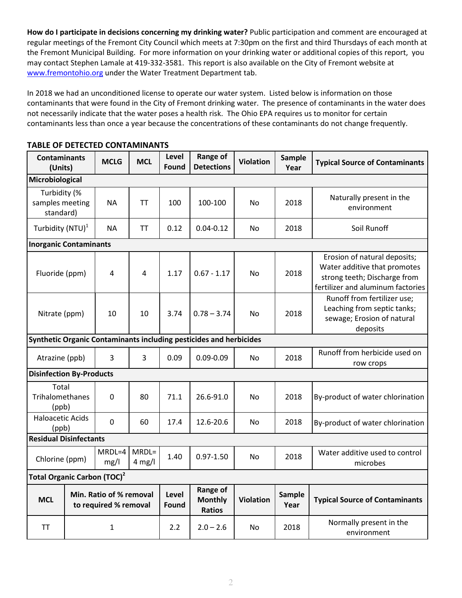**How do I participate in decisions concerning my drinking water?** Public participation and comment are encouraged at regular meetings of the Fremont City Council which meets at 7:30pm on the first and third Thursdays of each month at the Fremont Municipal Building.For more information on your drinking water or additional copies of this report, you may contact Stephen Lamale at 419-332-3581. This report is also available on the City of Fremont website at www.fremontohio.org under the Water Treatment Department tab.

In 2018 we had an unconditioned license to operate our water system. Listed below is information on those contaminants that were found in the City of Fremont drinking water. The presence of contaminants in the water does not necessarily indicate that the water poses a health risk. The Ohio EPA requires us to monitor for certain contaminants less than once a year because the concentrations of these contaminants do not change frequently.

| <b>Contaminants</b><br>(Units)                                 |                                                                    | <b>MCLG</b>      | <b>MCL</b>                                  | Level<br>Found   | Range of<br><b>Detections</b> | <b>Violation</b>                       | <b>Sample</b><br>Year | <b>Typical Source of Contaminants</b>                                                                                             |  |
|----------------------------------------------------------------|--------------------------------------------------------------------|------------------|---------------------------------------------|------------------|-------------------------------|----------------------------------------|-----------------------|-----------------------------------------------------------------------------------------------------------------------------------|--|
| Microbiological                                                |                                                                    |                  |                                             |                  |                               |                                        |                       |                                                                                                                                   |  |
| Turbidity (%<br>samples meeting<br>standard)                   |                                                                    | ΝA               | <b>TT</b>                                   | 100              | 100-100                       | No                                     | 2018                  | Naturally present in the<br>environment                                                                                           |  |
| Turbidity (NTU) <sup>1</sup>                                   |                                                                    | NА               | TT                                          | 0.12             | $0.04 - 0.12$                 | No                                     | 2018                  | Soil Runoff                                                                                                                       |  |
| <b>Inorganic Contaminants</b>                                  |                                                                    |                  |                                             |                  |                               |                                        |                       |                                                                                                                                   |  |
| Fluoride (ppm)                                                 |                                                                    | 4                | 4                                           | 1.17             | $0.67 - 1.17$                 | No                                     | 2018                  | Erosion of natural deposits;<br>Water additive that promotes<br>strong teeth; Discharge from<br>fertilizer and aluminum factories |  |
| Nitrate (ppm)                                                  |                                                                    | 10               | 10                                          | 3.74             | $0.78 - 3.74$                 | No                                     | 2018                  | Runoff from fertilizer use;<br>Leaching from septic tanks;<br>sewage; Erosion of natural<br>deposits                              |  |
|                                                                | Synthetic Organic Contaminants including pesticides and herbicides |                  |                                             |                  |                               |                                        |                       |                                                                                                                                   |  |
| Atrazine (ppb)                                                 |                                                                    | 3                | $\overline{3}$                              | 0.09             | $0.09 - 0.09$                 | No                                     | 2018                  | Runoff from herbicide used on<br>row crops                                                                                        |  |
|                                                                | <b>Disinfection By-Products</b>                                    |                  |                                             |                  |                               |                                        |                       |                                                                                                                                   |  |
| Total<br>Trihalomethanes<br>(ppb)                              |                                                                    | $\Omega$         | 80                                          | 71.1             | 26.6-91.0                     | No                                     | 2018                  | By-product of water chlorination                                                                                                  |  |
| <b>Haloacetic Acids</b><br>(ppb)                               |                                                                    | 0                | 60                                          | 17.4             | 12.6-20.6                     | No                                     | 2018                  | By-product of water chlorination                                                                                                  |  |
| <b>Residual Disinfectants</b>                                  |                                                                    |                  |                                             |                  |                               |                                        |                       |                                                                                                                                   |  |
| Chlorine (ppm)                                                 |                                                                    | $MRDL=4$<br>mg/l | $MRDL=$<br>$4$ mg/l                         | 1.40             | $0.97 - 1.50$                 | No                                     | 2018                  | Water additive used to control<br>microbes                                                                                        |  |
| Total Organic Carbon (TOC) <sup>2</sup>                        |                                                                    |                  |                                             |                  |                               |                                        |                       |                                                                                                                                   |  |
| Min. Ratio of % removal<br><b>MCL</b><br>to required % removal |                                                                    | Level<br>Found   | Range of<br><b>Monthly</b><br><b>Ratios</b> | <b>Violation</b> | <b>Sample</b><br>Year         | <b>Typical Source of Contaminants</b>  |                       |                                                                                                                                   |  |
| TT<br>$\mathbf{1}$                                             |                                                                    | 2.2              | $2.0 - 2.6$                                 | No               | 2018                          | Normally present in the<br>environment |                       |                                                                                                                                   |  |

## **TABLE OF DETECTED CONTAMINANTS**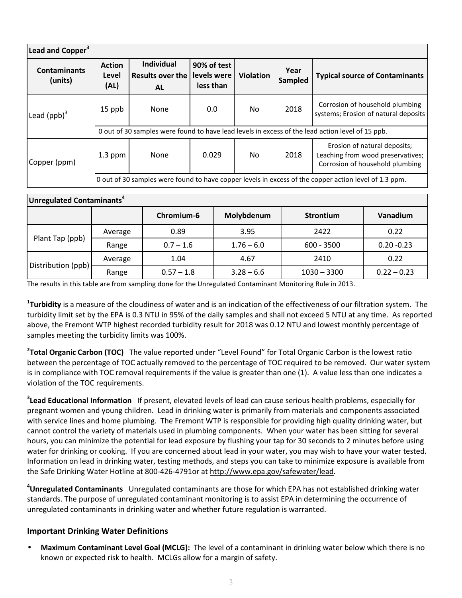| Lead and Copper <sup>3</sup>   |                                                                                                       |                                                           |                                         |                  |                 |                                                                                                      |  |  |  |
|--------------------------------|-------------------------------------------------------------------------------------------------------|-----------------------------------------------------------|-----------------------------------------|------------------|-----------------|------------------------------------------------------------------------------------------------------|--|--|--|
| <b>Contaminants</b><br>(units) | <b>Action</b><br>Level<br>(AL)                                                                        | <b>Individual</b><br><b>Results over the</b><br><b>AL</b> | 90% of test<br>levels were<br>less than | <b>Violation</b> | Year<br>Sampled | <b>Typical source of Contaminants</b>                                                                |  |  |  |
| Lead $(ppb)^3$                 | 15 ppb                                                                                                | None                                                      | 0.0                                     | No.              | 2018            | Corrosion of household plumbing<br>systems; Erosion of natural deposits                              |  |  |  |
|                                | 0 out of 30 samples were found to have lead levels in excess of the lead action level of 15 ppb.      |                                                           |                                         |                  |                 |                                                                                                      |  |  |  |
| Copper (ppm)                   | $1.3$ ppm                                                                                             | None                                                      | 0.029                                   | No.              | 2018            | Erosion of natural deposits;<br>Leaching from wood preservatives;<br>Corrosion of household plumbing |  |  |  |
|                                | O out of 30 samples were found to have copper levels in excess of the copper action level of 1.3 ppm. |                                                           |                                         |                  |                 |                                                                                                      |  |  |  |

| Unregulated Contaminants <sup>4</sup> |         |              |              |                  |               |  |  |  |
|---------------------------------------|---------|--------------|--------------|------------------|---------------|--|--|--|
|                                       |         | Chromium-6   | Molybdenum   | <b>Strontium</b> | Vanadium      |  |  |  |
|                                       | Average | 0.89         | 3.95         | 2422             | 0.22          |  |  |  |
| Plant Tap (ppb)                       | Range   | $0.7 - 1.6$  | $1.76 - 6.0$ | $600 - 3500$     | $0.20 - 0.23$ |  |  |  |
| Distribution (ppb)                    | Average | 1.04         | 4.67         | 2410             | 0.22          |  |  |  |
|                                       | Range   | $0.57 - 1.8$ | $3.28 - 6.6$ | $1030 - 3300$    | $0.22 - 0.23$ |  |  |  |

The results in this table are from sampling done for the Unregulated Contaminant Monitoring Rule in 2013.

**1 Turbidity** is a measure of the cloudiness of water and is an indication of the effectiveness of our filtration system. The turbidity limit set by the EPA is 0.3 NTU in 95% of the daily samples and shall not exceed 5 NTU at any time. As reported above, the Fremont WTP highest recorded turbidity result for 2018 was 0.12 NTU and lowest monthly percentage of samples meeting the turbidity limits was 100%.

**2 Total Organic Carbon (TOC)** The value reported under "Level Found" for Total Organic Carbon is the lowest ratio between the percentage of TOC actually removed to the percentage of TOC required to be removed. Our water system is in compliance with TOC removal requirements if the value is greater than one (1). A value less than one indicates a violation of the TOC requirements.

**3 Lead Educational Information** If present, elevated levels of lead can cause serious health problems, especially for pregnant women and young children. Lead in drinking water is primarily from materials and components associated with service lines and home plumbing. The Fremont WTP is responsible for providing high quality drinking water, but cannot control the variety of materials used in plumbing components. When your water has been sitting for several hours, you can minimize the potential for lead exposure by flushing your tap for 30 seconds to 2 minutes before using water for drinking or cooking. If you are concerned about lead in your water, you may wish to have your water tested. Information on lead in drinking water, testing methods, and steps you can take to minimize exposure is available from the Safe Drinking Water Hotline at 800-426-4791or at http://www.epa.gov/safewater/lead.

**<sup>4</sup>Unregulated Contaminants** Unregulated contaminants are those for which EPA has not established drinking water standards. The purpose of unregulated contaminant monitoring is to assist EPA in determining the occurrence of unregulated contaminants in drinking water and whether future regulation is warranted.

## **Important Drinking Water Definitions**

• **Maximum Contaminant Level Goal (MCLG):** The level of a contaminant in drinking water below which there is no known or expected risk to health. MCLGs allow for a margin of safety.